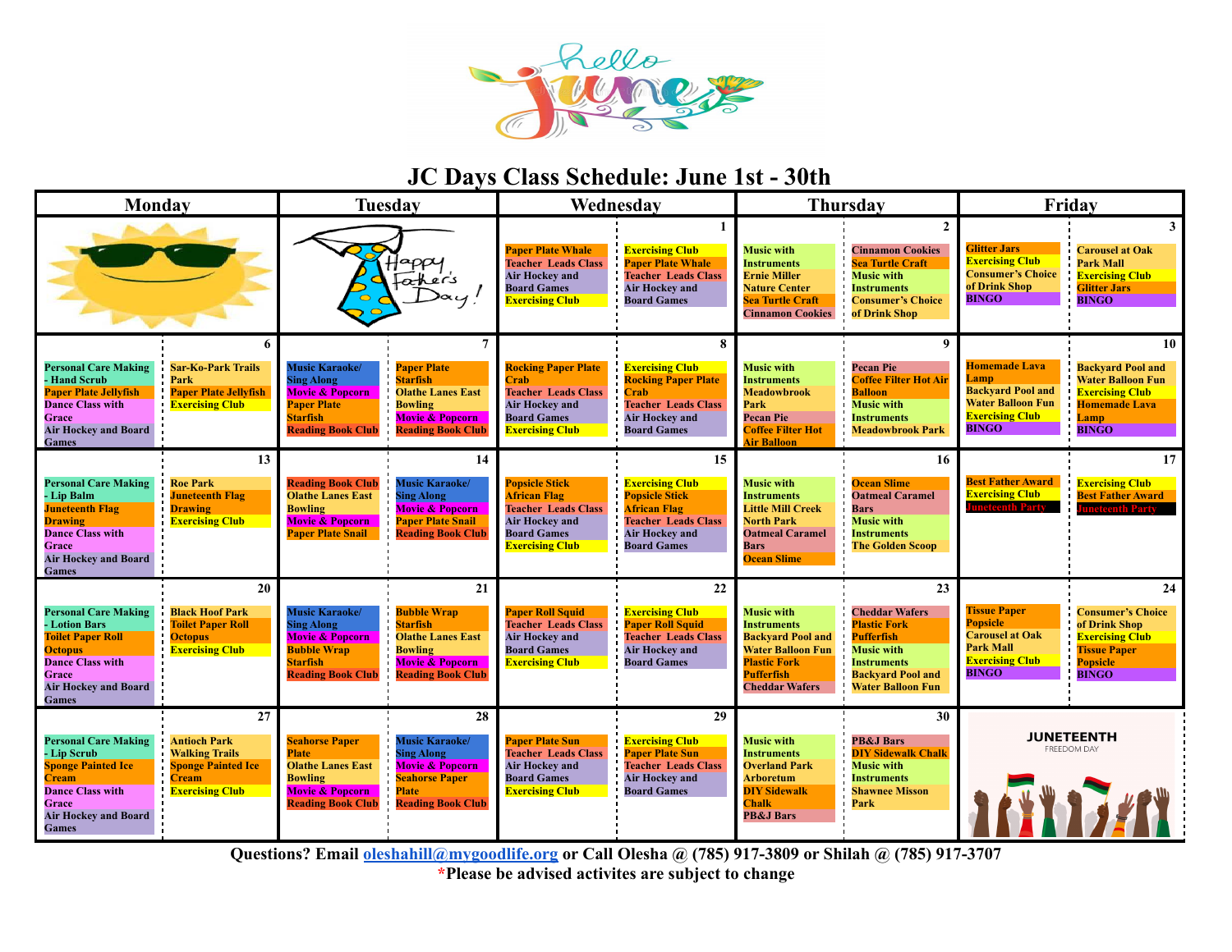

# **JC Days Class Schedule: June 1st - 30th**

| Monday                                                                                                                                                                                                                                                                                     |    | <b>Tuesday</b>                                                                                                                                |                                                                                                                                                     | Wednesday                                                                                                                                           |                                                                                                                                                           | <b>Thursday</b>                                                                                                                                                      |                                                                                                                                                                            | Friday                                                                                                                         |                                                                                                                                      |
|--------------------------------------------------------------------------------------------------------------------------------------------------------------------------------------------------------------------------------------------------------------------------------------------|----|-----------------------------------------------------------------------------------------------------------------------------------------------|-----------------------------------------------------------------------------------------------------------------------------------------------------|-----------------------------------------------------------------------------------------------------------------------------------------------------|-----------------------------------------------------------------------------------------------------------------------------------------------------------|----------------------------------------------------------------------------------------------------------------------------------------------------------------------|----------------------------------------------------------------------------------------------------------------------------------------------------------------------------|--------------------------------------------------------------------------------------------------------------------------------|--------------------------------------------------------------------------------------------------------------------------------------|
|                                                                                                                                                                                                                                                                                            |    | aρρι<br>Father's                                                                                                                              |                                                                                                                                                     | <b>Paper Plate Whale</b><br><b>Teacher Leads Class</b><br><b>Air Hockey and</b><br><b>Board Games</b><br><b>Exercising Club</b>                     | <b>Exercising Club</b><br><b>Paper Plate Whale</b><br><b>Teacher Leads Class</b><br><b>Air Hockey and</b><br><b>Board Games</b>                           | <b>Music with</b><br><b>Instruments</b><br><b>Ernie Miller</b><br><b>Nature Center</b><br><b>Sea Turtle Craft</b><br><b>Cinnamon Cookies</b>                         | <b>Cinnamon Cookies</b><br><b>Sea Turtle Craft</b><br><b>Music with</b><br><b>Instruments</b><br><b>Consumer's Choice</b><br>of Drink Shop                                 | <b>Glitter Jars</b><br><b>Exercising Club</b><br><b>Consumer's Choice</b><br>of Drink Shop<br><b>BINGO</b>                     | 3<br><b>Carousel at Oak</b><br><b>Park Mall</b><br><b>Exercising Club</b><br><b>Glitter Jars</b><br><b>BINGO</b>                     |
| <b>Personal Care Making</b><br><b>Sar-Ko-Park Trails</b><br><b>Hand Scrub</b><br>Park<br><b>Paper Plate Jellyfish</b><br><b>Paper Plate Jellyfish</b><br><b>Dance Class with</b><br><b>Exercising Club</b><br>Grace<br><b>Air Hockey and Board</b><br><b>Games</b>                         | 6  | <b>Music Karaoke/</b><br><b>Sing Along</b><br><b>Movie &amp; Popcorn</b><br><b>Paper Plate</b><br><b>Starfish</b><br><b>Reading Book Club</b> | 7<br><b>Paper Plate</b><br><b>Starfish</b><br><b>Olathe Lanes East</b><br><b>Bowling</b><br><b>Movie &amp; Popcorn</b><br><b>Reading Book Club</b>  | <b>Rocking Paper Plate</b><br>Crab<br><b>Teacher Leads Class</b><br><b>Air Hockey and</b><br><b>Board Games</b><br><b>Exercising Club</b>           | 8<br><b>Exercising Club</b><br><b>Rocking Paper Plate</b><br>`rab<br><b>Teacher Leads Class</b><br><b>Air Hockey and</b><br><b>Board Games</b>            | <b>Music with</b><br><b>Instruments</b><br><b>Meadowbrook</b><br>Park<br><b>Pecan Pie</b><br><b>Coffee Filter Hot</b><br><b>Air Balloon</b>                          | 9<br><b>Pecan Pie</b><br><b>Coffee Filter Hot Air</b><br><b>Balloon</b><br><b>Music with</b><br><b>Instruments</b><br><b>Meadowbrook Park</b>                              | <b>Homemade Lava</b><br>Lamp<br><b>Backyard Pool and</b><br><b>Water Balloon Fun</b><br><b>Exercising Club</b><br><b>BINGO</b> | 10<br><b>Backvard Pool and</b><br><b>Water Balloon Fun</b><br><b>Exercising Club</b><br><b>Homemade Lava</b><br>Lamp<br><b>BINGO</b> |
| <b>Personal Care Making</b><br><b>Roe Park</b><br>- Lip Balm<br><b>Juneteenth Flag</b><br><b>Juneteenth Flag</b><br><b>Drawing</b><br><b>Exercising Club</b><br><b>Drawing</b><br><b>Dance Class with</b><br>Grace<br><b>Air Hockey and Board</b><br>Games                                 | 13 | <b>Reading Book Club</b><br><b>Olathe Lanes East</b><br><b>Bowling</b><br><b>Movie &amp; Popcorn</b><br><b>Paper Plate Snail</b>              | 14<br><b>Music Karaoke/</b><br><b>Sing Along</b><br><b>Movie &amp; Popcorn</b><br><b>Paper Plate Snail</b><br><b>Reading Book Club</b>              | <b>Popsicle Stick</b><br><b>African Flag</b><br><b>Teacher Leads Class</b><br><b>Air Hockey and</b><br><b>Board Games</b><br><b>Exercising Club</b> | 15<br><b>Exercising Club</b><br><b>Popsicle Stick</b><br><b>African Flag</b><br><b>Teacher Leads Class</b><br><b>Air Hockey and</b><br><b>Board Games</b> | <b>Music with</b><br><b>Instruments</b><br><b>Little Mill Creek</b><br><b>North Park</b><br><b>Oatmeal Caramel</b><br>Bars<br><b>Ocean Slime</b>                     | 16<br><b>Ocean Slime</b><br><b>Oatmeal Caramel</b><br><b>Bars</b><br><b>Music with</b><br><b>Instruments</b><br><b>The Golden Scoop</b>                                    | <b>Best Father Award</b><br><b>Exercising Club</b><br>ineteenth Party                                                          | 17<br><b>Exercising Club</b><br><b>Best Father Award</b><br><b>neteenth Party</b>                                                    |
| <b>Personal Care Making</b><br><b>Black Hoof Park</b><br><b>Toilet Paper Roll</b><br><b>Lotion Bars</b><br><b>Toilet Paper Roll</b><br><b>Octopus</b><br><b>Exercising Club</b><br><b>Octopus</b><br><b>Dance Class with</b><br>Grace<br><b>Air Hockey and Board</b><br><b>Games</b>       | 20 | <b>Music Karaoke/</b><br><b>Sing Along</b><br><b>Movie &amp; Popcorn</b><br><b>Bubble Wrap</b><br><b>Starfish</b><br><b>Reading Book Club</b> | 21<br><b>Bubble Wrap</b><br><b>Starfish</b><br><b>Olathe Lanes East</b><br><b>Bowling</b><br><b>Movie &amp; Popcorn</b><br><b>Reading Book Club</b> | <b>Paper Roll Squid</b><br><b>Teacher Leads Class</b><br><b>Air Hockey and</b><br><b>Board Games</b><br><b>Exercising Club</b>                      | 22<br><b>Exercising Club</b><br><b>Paper Roll Squid</b><br><b>Teacher Leads Class</b><br><b>Air Hockey and</b><br><b>Board Games</b>                      | <b>Music with</b><br><b>Instruments</b><br><b>Backyard Pool and</b><br><b>Water Balloon Fun</b><br><b>Plastic Fork</b><br><b>Pufferfish</b><br><b>Cheddar Wafers</b> | 23<br><b>Cheddar Wafers</b><br><b>Plastic Fork</b><br><b>Pufferfish</b><br><b>Music with</b><br><b>Instruments</b><br><b>Backvard Pool and</b><br><b>Water Balloon Fun</b> | <b>Tissue Paper</b><br><b>Popsicle</b><br><b>Carousel at Oak</b><br><b>Park Mall</b><br><b>Exercising Club</b><br><b>BINGO</b> | 24<br><b>Consumer's Choice</b><br>of Drink Shop<br><b>Exercising Club</b><br><b>Tissue Paper</b><br><b>Popsicle</b><br><b>BINGO</b>  |
| <b>Personal Care Making</b><br><b>Antioch Park</b><br>- Lip Scrub<br><b>Walking Trails</b><br><b>Sponge Painted Ice</b><br><b>Sponge Painted Ice</b><br><b>Cream</b><br>Cream<br><b>Dance Class with</b><br><b>Exercising Club</b><br>Grace<br><b>Air Hockey and Board</b><br><b>Games</b> | 27 | <b>Seahorse Paper</b><br><b>Plate</b><br><b>Olathe Lanes East</b><br><b>Bowling</b><br><b>Movie &amp; Popcorn</b><br><b>Reading Book Club</b> | 28<br><b>Music Karaoke/</b><br><b>Sing Along</b><br><b>Movie &amp; Popcorn</b><br><b>Seahorse Paper</b><br>Plate<br><b>Reading Book Club</b>        | <b>Paper Plate Sun</b><br><b>Teacher Leads Class</b><br><b>Air Hockey and</b><br><b>Board Games</b><br><b>Exercising Club</b>                       | 29<br><b>Exercising Club</b><br><b>Paper Plate Sun</b><br><b>Teacher Leads Class</b><br><b>Air Hockey and</b><br><b>Board Games</b>                       | <b>Music with</b><br><b>Instruments</b><br><b>Overland Park</b><br><b>Arboretum</b><br><b>DIY Sidewalk</b><br><b>Chalk</b><br><b>PB&amp;J Bars</b>                   | 30<br><b>PB&amp;J Bars</b><br><b>DIY Sidewalk Chalk</b><br><b>Music with</b><br><b>Instruments</b><br><b>Shawnee Misson</b><br>Park                                        | <b>JUNETEENTH</b><br>FREEDOM DAY<br>1111741                                                                                    |                                                                                                                                      |

**Questions? Email [oleshahill@mygoodlife.org](mailto:oleshahill@mygoodlife.org) or Call Olesha @ (785) 917-3809 or Shilah @ (785) 917-3707 \*Please be advised activites are subject to change**